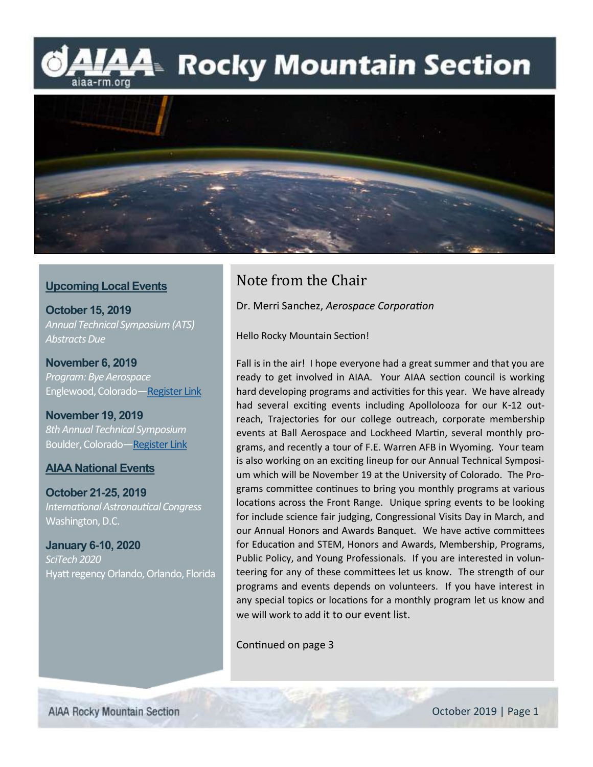## l⁄44 Rocky Mountain Section aiaa-rm.org



### **Upcoming Local Events**

**October 15, 2019** *Annual Technical Symposium (ATS) Abstracts Due*

**November 6, 2019** *Program: Bye Aerospace* Englewood, Colorado[—Register Link](https://www.eventbrite.com/e/bye-aerospace-eflyer-tickets-75974799671)

**November 19, 2019** *8th Annual Technical Symposium* Boulder, Colorado[—Register Link](https://www.eventbrite.com/e/ats-2019-aiaa-rocky-mountain-section-annual-technical-symposium-tickets-68296190745?ref=ecount)

#### **AIAA National Events**

**October 21-25, 2019** *International Astronautical Congress*  Washington, D.C.

**January 6-10, 2020** *SciTech 2020* Hyatt regency Orlando, Orlando, Florida

### Note from the Chair

Dr. Merri Sanchez, *Aerospace Corporation*

Hello Rocky Mountain Section!

Fall is in the air! I hope everyone had a great summer and that you are ready to get involved in AIAA. Your AIAA section council is working hard developing programs and activities for this year. We have already had several exciting events including Apollolooza for our K-12 outreach, Trajectories for our college outreach, corporate membership events at Ball Aerospace and Lockheed Martin, several monthly programs, and recently a tour of F.E. Warren AFB in Wyoming. Your team is also working on an exciting lineup for our Annual Technical Symposium which will be November 19 at the University of Colorado. The Programs committee continues to bring you monthly programs at various locations across the Front Range. Unique spring events to be looking for include science fair judging, Congressional Visits Day in March, and our Annual Honors and Awards Banquet. We have active committees for Education and STEM, Honors and Awards, Membership, Programs, Public Policy, and Young Professionals. If you are interested in volunteering for any of these committees let us know. The strength of our programs and events depends on volunteers. If you have interest in any special topics or locations for a monthly program let us know and we will work to add it to our event list.

Continued on page 3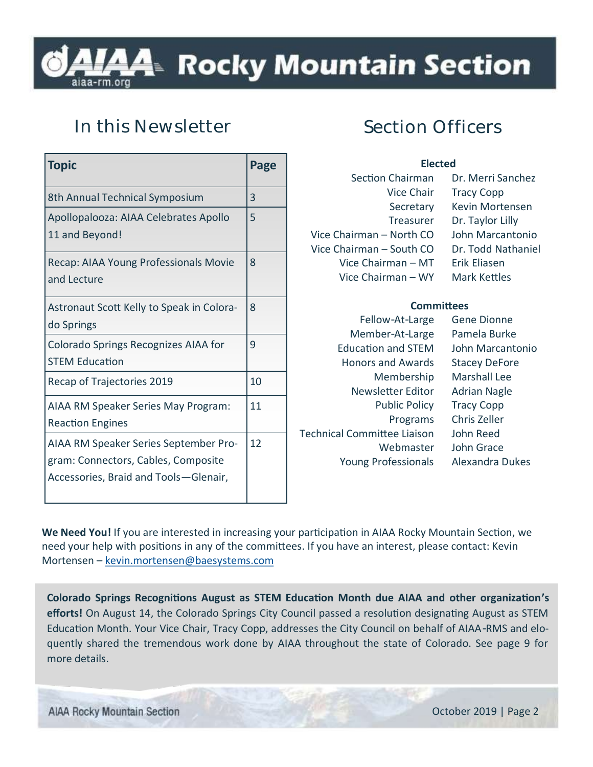# A4™ Rocky Mountain Section

## **In this Newsletter**

| <b>Topic</b>                                                                                                          | Page |
|-----------------------------------------------------------------------------------------------------------------------|------|
| 8th Annual Technical Symposium                                                                                        | 3    |
| Apollopalooza: AIAA Celebrates Apollo<br>11 and Beyond!                                                               | 5    |
| Recap: AIAA Young Professionals Movie<br>and Lecture                                                                  | 8    |
| Astronaut Scott Kelly to Speak in Colora-<br>do Springs                                                               | 8    |
| Colorado Springs Recognizes AIAA for<br><b>STEM Education</b>                                                         | 9    |
| Recap of Trajectories 2019                                                                                            | 10   |
| AIAA RM Speaker Series May Program:<br><b>Reaction Engines</b>                                                        | 11   |
| AIAA RM Speaker Series September Pro-<br>gram: Connectors, Cables, Composite<br>Accessories, Braid and Tools-Glenair, | 12   |

### **Section Officers**

| <b>Flected</b>           |                     |
|--------------------------|---------------------|
| Section Chairman         | Dr. Merri Sanchez   |
| Vice Chair               | <b>Tracy Copp</b>   |
| Secretary                | Kevin Mortensen     |
| Treasurer                | Dr. Taylor Lilly    |
| Vice Chairman - North CO | John Marcantonio    |
| Vice Chairman - South CO | Dr. Todd Nathaniel  |
| Vice Chairman - MT       | Erik Eliasen        |
| Vice Chairman - WY       | <b>Mark Kettles</b> |
|                          |                     |

#### **Committees**

| Fellow-At-Large                    | <b>Gene Dionne</b>   |
|------------------------------------|----------------------|
| Member-At-Large                    | Pamela Burke         |
| <b>Education and STEM</b>          | John Marcanto        |
| <b>Honors and Awards</b>           | <b>Stacey DeFore</b> |
| Membership                         | <b>Marshall Lee</b>  |
| Newsletter Editor                  | <b>Adrian Nagle</b>  |
| <b>Public Policy</b>               | <b>Tracy Copp</b>    |
| Programs                           | Chris Zeller         |
| <b>Technical Committee Liaison</b> | John Reed            |
| Webmaster                          | John Grace           |
| <b>Young Professionals</b>         | Alexandra Duk        |
|                                    |                      |

cantonio Dukes

**We Need You!** If you are interested in increasing your participation in AIAA Rocky Mountain Section, we need your help with positions in any of the committees. If you have an interest, please contact: Kevin Mortensen – [kevin.mortensen@baesystems.com](mailto:kevin.mortensen@baesystems.com)

**Colorado Springs Recognitions August as STEM Education Month due AIAA and other organization's efforts!** On August 14, the Colorado Springs City Council passed a resolution designating August as STEM Education Month. Your Vice Chair, Tracy Copp, addresses the City Council on behalf of AIAA-RMS and eloquently shared the tremendous work done by AIAA throughout the state of Colorado. See page 9 for more details.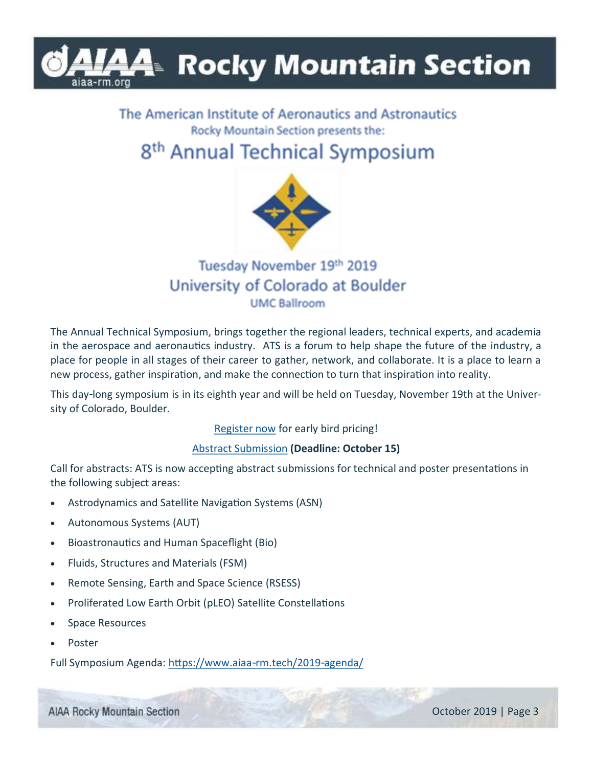# **4 Rocky Mountain Section**

### The American Institute of Aeronautics and Astronautics Rocky Mountain Section presents the:

## 8<sup>th</sup> Annual Technical Symposium



### Tuesday November 19th 2019 University of Colorado at Boulder **UMC Ballroom**

The Annual Technical Symposium, brings together the regional leaders, technical experts, and academia in the aerospace and aeronautics industry. ATS is a forum to help shape the future of the industry, a place for people in all stages of their career to gather, network, and collaborate. It is a place to learn a new process, gather inspiration, and make the connection to turn that inspiration into reality.

This day-long symposium is in its eighth year and will be held on Tuesday, November 19th at the University of Colorado, Boulder.

### [Register now](https://www.eventbrite.com/e/ats-2019-aiaa-rocky-mountain-section-annual-technical-symposium-tickets-68296190745?ref=ecount) for early bird pricing!

### [Abstract Submission](https://urldefense.proofpoint.com/v2/url?u=https-3A__www.aiaa-2Drm.tech_sample-2Dpage_speakers-2Dand-2Dabstract-2Dpresenters_&d=DwMFaQ&c=jF7FvYH6t0RX1HrEjVCgHQ&r=fIlnrCjAjvti87l7CVi7hA&m=z3bQqfx3Y1SseVlzKVV0WBc7d8PG9GbaB712Jp87PMg&s=7fyPLZ8acZU_q_7Sv8tdOsF) **(Deadline: October 15)**

Call for abstracts: ATS is now accepting abstract submissions for technical and poster presentations in the following subject areas:

- Astrodynamics and Satellite Navigation Systems (ASN)
- Autonomous Systems (AUT)
- Bioastronautics and Human Spaceflight (Bio)
- Fluids, Structures and Materials (FSM)
- Remote Sensing, Earth and Space Science (RSESS)
- Proliferated Low Earth Orbit (pLEO) Satellite Constellations
- Space Resources
- **Poster**

Full Symposium Agenda:<https://www.aiaa-rm.tech/2019-agenda/>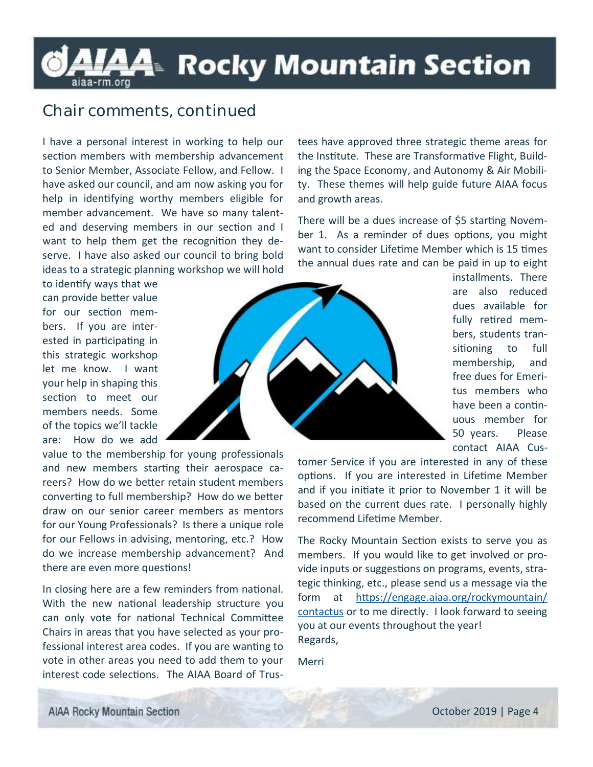# LAA Rocky Mountain Section

### **Chair comments, continued**

I have a personal interest in working to help our section members with membership advancement to Senior Member, Associate Fellow, and Fellow. I have asked our council, and am now asking you for help in identifying worthy members eligible for member advancement. We have so many talented and deserving members in our section and I want to help them get the recognition they deserve. I have also asked our council to bring bold ideas to a strategic planning workshop we will hold

to identify ways that we can provide better value for our section members. If you are interested in participating in this strategic workshop let me know. I want your help in shaping this section to meet our members needs. Some of the topics we'll tackle are: How do we add

value to the membership for young professionals and new members starting their aerospace careers? How do we better retain student members converting to full membership? How do we better draw on our senior career members as mentors for our Young Professionals? Is there a unique role for our Fellows in advising, mentoring, etc.? How do we increase membership advancement? And there are even more questions!

In closing here are a few reminders from national. With the new national leadership structure you can only vote for national Technical Committee Chairs in areas that you have selected as your professional interest area codes. If you are wanting to vote in other areas you need to add them to your interest code selections. The AIAA Board of Trustees have approved three strategic theme areas for the Institute. These are Transformative Flight, Building the Space Economy, and Autonomy & Air Mobility. These themes will help guide future AIAA focus and growth areas.

There will be a dues increase of \$5 starting November 1. As a reminder of dues options, you might want to consider Lifetime Member which is 15 times the annual dues rate and can be paid in up to eight

> installments. There are also reduced dues available for fully retired members, students transitioning to full membership, and free dues for Emeritus members who have been a continuous member for 50 years. Please contact AIAA Cus-



tomer Service if you are interested in any of these options. If you are interested in Lifetime Member and if you initiate it prior to November 1 it will be based on the current dues rate. I personally highly recommend Lifetime Member.

The Rocky Mountain Section exists to serve you as members. If you would like to get involved or provide inputs or suggestions on programs, events, strategic thinking, etc., please send us a message via the form at [https://engage.aiaa.org/rockymountain/](https://engage.aiaa.org/rockymountain/contactus) [contactus](https://engage.aiaa.org/rockymountain/contactus) or to me directly. I look forward to seeing you at our events throughout the year! Regards,

Merri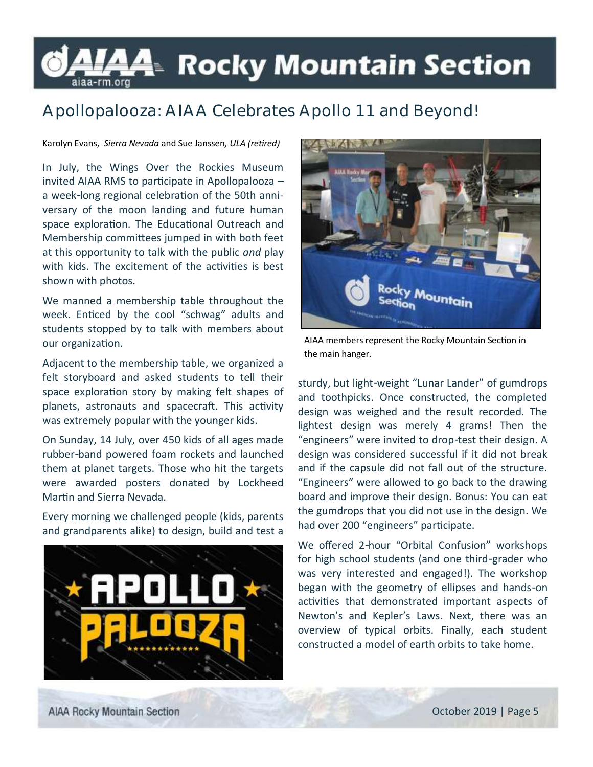# LAA⊧ Rocky Mountain Section

## **Apollopalooza: AIAA Celebrates Apollo 11 and Beyond!**

#### Karolyn Evans, *Sierra Nevada* and Sue Janssen*, ULA (retired)*

In July, the Wings Over the Rockies Museum invited AIAA RMS to participate in Apollopalooza – a week-long regional celebration of the 50th anniversary of the moon landing and future human space exploration. The Educational Outreach and Membership committees jumped in with both feet at this opportunity to talk with the public *and* play with kids. The excitement of the activities is best shown with photos.

We manned a membership table throughout the week. Enticed by the cool "schwag" adults and students stopped by to talk with members about our organization.

Adjacent to the membership table, we organized a felt storyboard and asked students to tell their space exploration story by making felt shapes of planets, astronauts and spacecraft. This activity was extremely popular with the younger kids.

On Sunday, 14 July, over 450 kids of all ages made rubber-band powered foam rockets and launched them at planet targets. Those who hit the targets were awarded posters donated by Lockheed Martin and Sierra Nevada.

Every morning we challenged people (kids, parents and grandparents alike) to design, build and test a





AIAA members represent the Rocky Mountain Section in the main hanger.

sturdy, but light-weight "Lunar Lander" of gumdrops and toothpicks. Once constructed, the completed design was weighed and the result recorded. The lightest design was merely 4 grams! Then the "engineers" were invited to drop-test their design. A design was considered successful if it did not break and if the capsule did not fall out of the structure. "Engineers" were allowed to go back to the drawing board and improve their design. Bonus: You can eat the gumdrops that you did not use in the design. We had over 200 "engineers" participate.

We offered 2-hour "Orbital Confusion" workshops for high school students (and one third-grader who was very interested and engaged!). The workshop began with the geometry of ellipses and hands-on activities that demonstrated important aspects of Newton's and Kepler's Laws. Next, there was an overview of typical orbits. Finally, each student constructed a model of earth orbits to take home.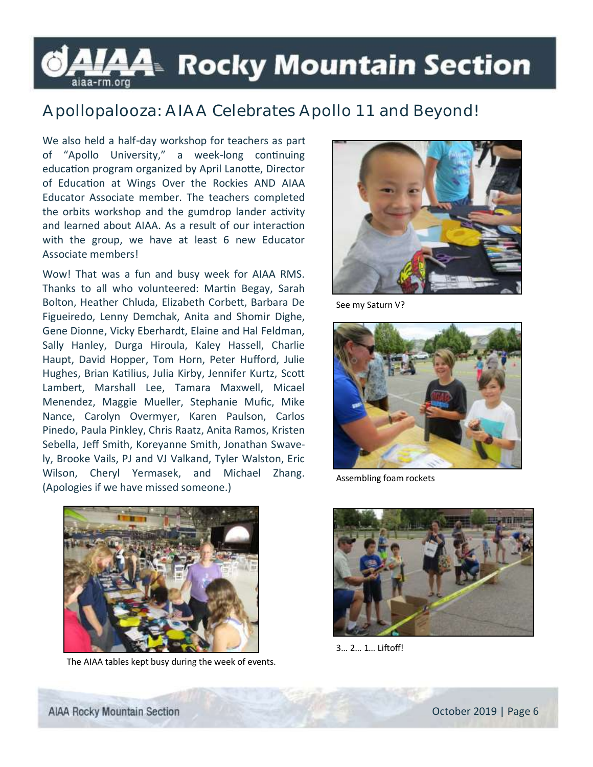# LAA- Rocky Mountain Section

### **Apollopalooza: AIAA Celebrates Apollo 11 and Beyond!**

We also held a half-day workshop for teachers as part of "Apollo University," a week-long continuing education program organized by April Lanotte, Director of Education at Wings Over the Rockies AND AIAA Educator Associate member. The teachers completed the orbits workshop and the gumdrop lander activity and learned about AIAA. As a result of our interaction with the group, we have at least 6 new Educator Associate members!

Wow! That was a fun and busy week for AIAA RMS. Thanks to all who volunteered: Martin Begay, Sarah Bolton, Heather Chluda, Elizabeth Corbett, Barbara De Figueiredo, Lenny Demchak, Anita and Shomir Dighe, Gene Dionne, Vicky Eberhardt, Elaine and Hal Feldman, Sally Hanley, Durga Hiroula, Kaley Hassell, Charlie Haupt, David Hopper, Tom Horn, Peter Hufford, Julie Hughes, Brian Katilius, Julia Kirby, Jennifer Kurtz, Scott Lambert, Marshall Lee, Tamara Maxwell, Micael Menendez, Maggie Mueller, Stephanie Mufic, Mike Nance, Carolyn Overmyer, Karen Paulson, Carlos Pinedo, Paula Pinkley, Chris Raatz, Anita Ramos, Kristen Sebella, Jeff Smith, Koreyanne Smith, Jonathan Swavely, Brooke Vails, PJ and VJ Valkand, Tyler Walston, Eric Wilson, Cheryl Yermasek, and Michael Zhang. (Apologies if we have missed someone.)



See my Saturn V?



Assembling foam rockets



The AIAA tables kept busy during the week of events.



3… 2… 1… Liftoff!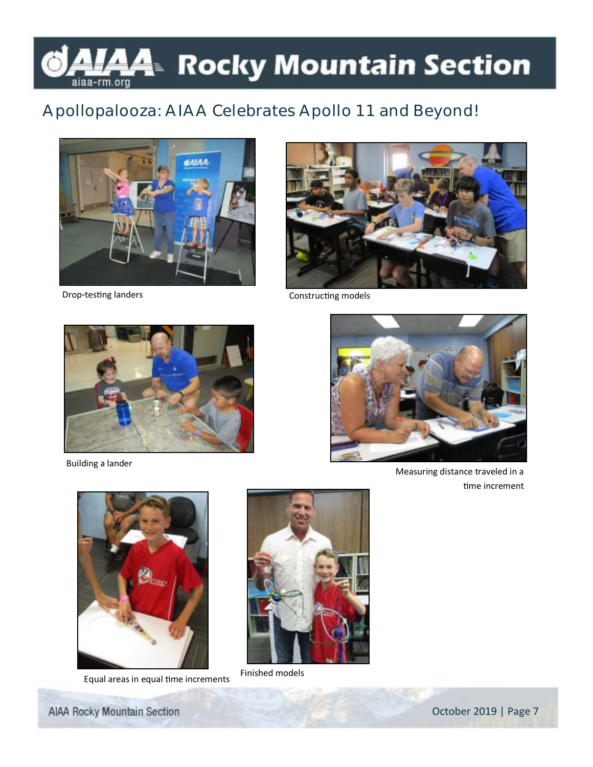# <u>А</u>4 Rocky Mountain Section aiaa-rm.org

## **Apollopalooza: AIAA Celebrates Apollo 11 and Beyond!**





Drop-testing landers Constructing models



Building a lander



Measuring distance traveled in a time increment



Equal areas in equal time increments Finished models

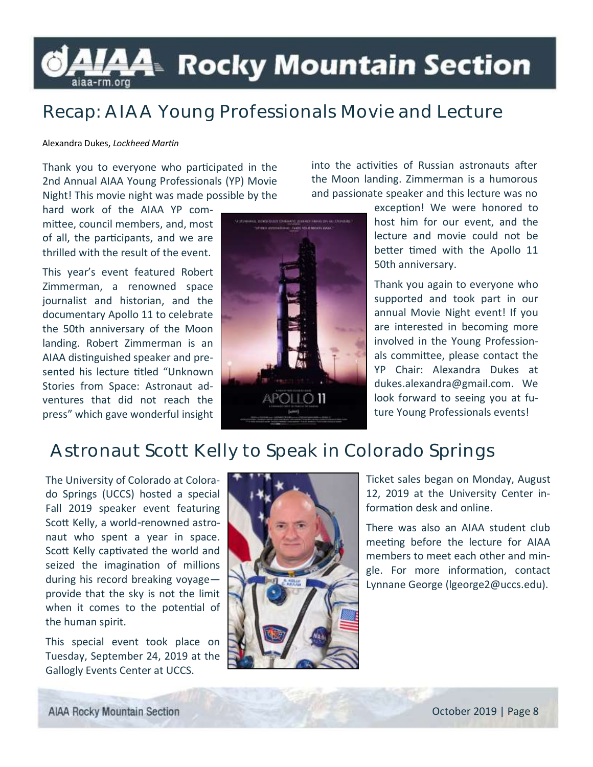# LAA- Rocky Mountain Section

## **Recap: AIAA Young Professionals Movie and Lecture**

#### Alexandra Dukes, *Lockheed Martin*

Thank you to everyone who participated in the 2nd Annual AIAA Young Professionals (YP) Movie Night! This movie night was made possible by the

hard work of the AIAA YP committee, council members, and, most of all, the participants, and we are thrilled with the result of the event.

This year's event featured Robert Zimmerman, a renowned space journalist and historian, and the documentary Apollo 11 to celebrate the 50th anniversary of the Moon landing. Robert Zimmerman is an AIAA distinguished speaker and presented his lecture titled "Unknown Stories from Space: Astronaut adventures that did not reach the press" which gave wonderful insight



into the activities of Russian astronauts after the Moon landing. Zimmerman is a humorous and passionate speaker and this lecture was no

> exception! We were honored to host him for our event, and the lecture and movie could not be better timed with the Apollo 11 50th anniversary.

> Thank you again to everyone who supported and took part in our annual Movie Night event! If you are interested in becoming more involved in the Young Professionals committee, please contact the YP Chair: Alexandra Dukes at dukes.alexandra@gmail.com. We look forward to seeing you at future Young Professionals events!

## **Astronaut Scott Kelly to Speak in Colorado Springs**

The University of Colorado at Colorado Springs (UCCS) hosted a special Fall 2019 speaker event featuring Scott Kelly, a world-renowned astronaut who spent a year in space. Scott Kelly captivated the world and seized the imagination of millions during his record breaking voyage provide that the sky is not the limit when it comes to the potential of the human spirit.

This special event took place on Tuesday, September 24, 2019 at the Gallogly Events Center at UCCS.



Ticket sales began on Monday, August 12, 2019 at the University Center information desk and online.

There was also an AIAA student club meeting before the lecture for AIAA members to meet each other and mingle. For more information, contact Lynnane George (lgeorge2@uccs.edu).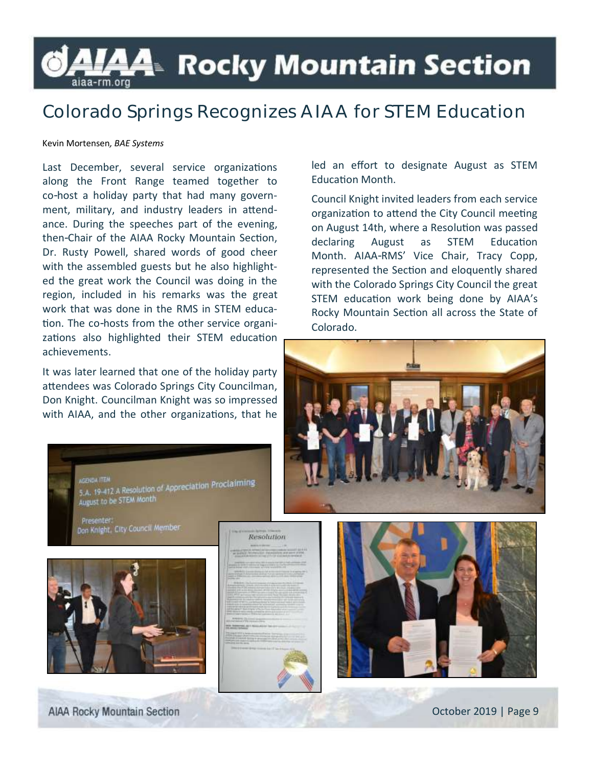## LAA⊧ Rocky Mountain Section aiaa-rm.org

## **Colorado Springs Recognizes AIAA for STEM Education**

#### Kevin Mortensen*, BAE Systems*

Last December, several service organizations along the Front Range teamed together to co-host a holiday party that had many government, military, and industry leaders in attendance. During the speeches part of the evening, then-Chair of the AIAA Rocky Mountain Section, Dr. Rusty Powell, shared words of good cheer with the assembled guests but he also highlighted the great work the Council was doing in the region, included in his remarks was the great work that was done in the RMS in STEM education. The co-hosts from the other service organizations also highlighted their STEM education achievements.

It was later learned that one of the holiday party attendees was Colorado Springs City Councilman, Don Knight. Councilman Knight was so impressed with AIAA, and the other organizations, that he

GENNA ITEM<br>5.A. 19-412 A Resolution of Appreciation Proclaiming

led an effort to designate August as STEM Education Month.

Council Knight invited leaders from each service organization to attend the City Council meeting on August 14th, where a Resolution was passed declaring August as STEM Education Month. AIAA-RMS' Vice Chair, Tracy Copp, represented the Section and eloquently shared with the Colorado Springs City Council the great STEM education work being done by AIAA's Rocky Mountain Section all across the State of Colorado.





and its and its STEM Month

Don Knight, City Council Member

Resolution

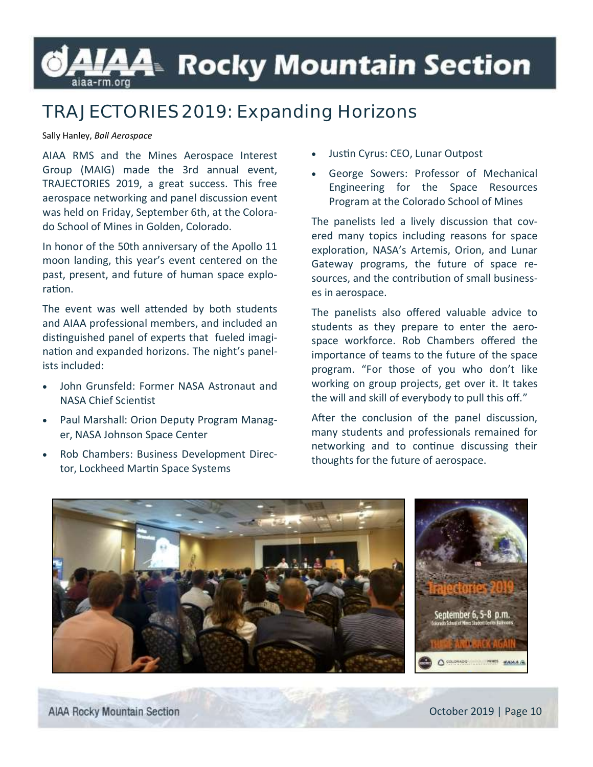# LAA- Rocky Mountain Section

# **TRAJECTORIES 2019: Expanding Horizons**

#### Sally Hanley, *Ball Aerospace*

AIAA RMS and the Mines Aerospace Interest Group (MAIG) made the 3rd annual event, TRAJECTORIES 2019, a great success. This free aerospace networking and panel discussion event was held on Friday, September 6th, at the Colorado School of Mines in Golden, Colorado.

In honor of the 50th anniversary of the Apollo 11 moon landing, this year's event centered on the past, present, and future of human space exploration.

The event was well attended by both students and AIAA professional members, and included an distinguished panel of experts that fueled imagination and expanded horizons. The night's panelists included:

- John Grunsfeld: Former NASA Astronaut and NASA Chief Scientist
- Paul Marshall: Orion Deputy Program Manager, NASA Johnson Space Center
- Rob Chambers: Business Development Director, Lockheed Martin Space Systems
- Justin Cyrus: CEO, Lunar Outpost
- George Sowers: Professor of Mechanical Engineering for the Space Resources Program at the Colorado School of Mines

The panelists led a lively discussion that covered many topics including reasons for space exploration, NASA's Artemis, Orion, and Lunar Gateway programs, the future of space resources, and the contribution of small businesses in aerospace.

The panelists also offered valuable advice to students as they prepare to enter the aerospace workforce. Rob Chambers offered the importance of teams to the future of the space program. "For those of you who don't like working on group projects, get over it. It takes the will and skill of everybody to pull this off."

After the conclusion of the panel discussion, many students and professionals remained for networking and to continue discussing their thoughts for the future of aerospace.

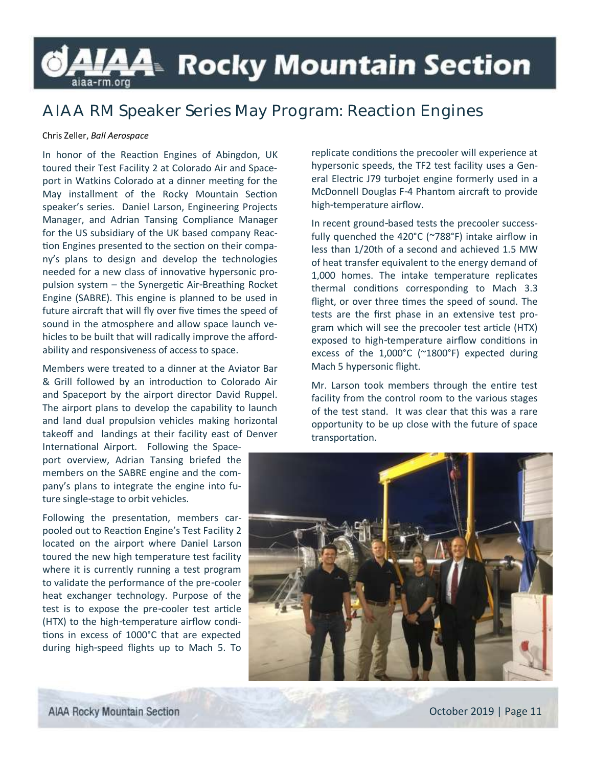# **AIAA**™ Rocky Mountain Section aiaa-rm.org

## **AIAA RM Speaker Series May Program: Reaction Engines**

#### Chris Zeller, *Ball Aerospace*

In honor of the Reaction Engines of Abingdon, UK toured their Test Facility 2 at Colorado Air and Spaceport in Watkins Colorado at a dinner meeting for the May installment of the Rocky Mountain Section speaker's series. Daniel Larson, Engineering Projects Manager, and Adrian Tansing Compliance Manager for the US subsidiary of the UK based company Reaction Engines presented to the section on their company's plans to design and develop the technologies needed for a new class of innovative hypersonic propulsion system – the Synergetic Air-Breathing Rocket Engine (SABRE). This engine is planned to be used in future aircraft that will fly over five times the speed of sound in the atmosphere and allow space launch vehicles to be built that will radically improve the affordability and responsiveness of access to space.

Members were treated to a dinner at the Aviator Bar & Grill followed by an introduction to Colorado Air and Spaceport by the airport director David Ruppel. The airport plans to develop the capability to launch and land dual propulsion vehicles making horizontal takeoff and landings at their facility east of Denver

International Airport. Following the Spaceport overview, Adrian Tansing briefed the members on the SABRE engine and the company's plans to integrate the engine into future single-stage to orbit vehicles.

Following the presentation, members carpooled out to Reaction Engine's Test Facility 2 located on the airport where Daniel Larson toured the new high temperature test facility where it is currently running a test program to validate the performance of the pre-cooler heat exchanger technology. Purpose of the test is to expose the pre-cooler test article (HTX) to the high-temperature airflow conditions in excess of 1000°C that are expected during high-speed flights up to Mach 5. To

replicate conditions the precooler will experience at hypersonic speeds, the TF2 test facility uses a General Electric J79 turbojet engine formerly used in a McDonnell Douglas F-4 Phantom aircraft to provide high-temperature airflow.

In recent ground-based tests the precooler successfully quenched the 420°C (~788°F) intake airflow in less than 1/20th of a second and achieved 1.5 MW of heat transfer equivalent to the energy demand of 1,000 homes. The intake temperature replicates thermal conditions corresponding to Mach 3.3 flight, or over three times the speed of sound. The tests are the first phase in an extensive test program which will see the precooler test article (HTX) exposed to high-temperature airflow conditions in excess of the 1,000°C (~1800°F) expected during Mach 5 hypersonic flight.

Mr. Larson took members through the entire test facility from the control room to the various stages of the test stand. It was clear that this was a rare opportunity to be up close with the future of space transportation.